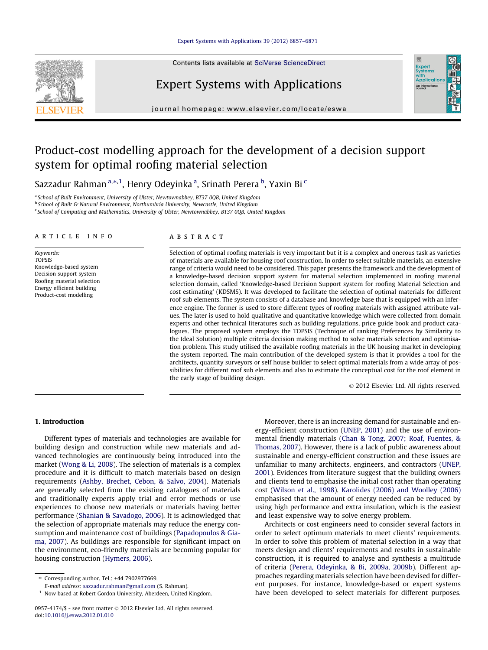# [Expert Systems with Applications 39 \(2012\) 6857–6871](http://dx.doi.org/10.1016/j.eswa.2012.01.010)

Contents lists available at [SciVerse ScienceDirect](http://www.sciencedirect.com/science/journal/09574174)



# Expert Systems with Applications



journal homepage: [www.elsevier.com/locate/eswa](http://www.elsevier.com/locate/eswa)

# Product-cost modelling approach for the development of a decision support system for optimal roofing material selection

Sazzadur Rahman $^{\mathrm{a},\ast,\mathrm{1}}$ , Henry Odeyinka $^{\mathrm{a}}$ , Srinath Perera $^{\mathrm{b}}$ , Yaxin Bi $^{\mathrm{c}}$ 

<sup>a</sup> School of Built Environment, University of Ulster, Newtownabbey, BT37 0QB, United Kingdom

<sup>b</sup> School of Built & Natural Environment, Northumbria University, Newcastle, United Kingdom

<sup>c</sup> School of Computing and Mathematics, University of Ulster, Newtownabbey, BT37 0QB, United Kingdom

## article info

Keywords: TOPSIS Knowledge-based system Decision support system Roofing material selection Energy efficient building Product-cost modelling

#### ABSTRACT

Selection of optimal roofing materials is very important but it is a complex and onerous task as varieties of materials are available for housing roof construction. In order to select suitable materials, an extensive range of criteria would need to be considered. This paper presents the framework and the development of a knowledge-based decision support system for material selection implemented in roofing material selection domain, called 'Knowledge-based Decision Support system for roofing Material Selection and cost estimating' (KDSMS). It was developed to facilitate the selection of optimal materials for different roof sub elements. The system consists of a database and knowledge base that is equipped with an inference engine. The former is used to store different types of roofing materials with assigned attribute values. The later is used to hold qualitative and quantitative knowledge which were collected from domain experts and other technical literatures such as building regulations, price guide book and product catalogues. The proposed system employs the TOPSIS (Technique of ranking Preferences by Similarity to the Ideal Solution) multiple criteria decision making method to solve materials selection and optimisation problem. This study utilised the available roofing materials in the UK housing market in developing the system reported. The main contribution of the developed system is that it provides a tool for the architects, quantity surveyors or self house builder to select optimal materials from a wide array of possibilities for different roof sub elements and also to estimate the conceptual cost for the roof element in the early stage of building design.

- 2012 Elsevier Ltd. All rights reserved.

# 1. Introduction

Different types of materials and technologies are available for building design and construction while new materials and advanced technologies are continuously being introduced into the market [\(Wong & Li, 2008](#page--1-0)). The selection of materials is a complex procedure and it is difficult to match materials based on design requirements ([Ashby, Brechet, Cebon, & Salvo, 2004](#page--1-0)). Materials are generally selected from the existing catalogues of materials and traditionally experts apply trial and error methods or use experiences to choose new materials or materials having better performance [\(Shanian & Savadogo, 2006](#page--1-0)). It is acknowledged that the selection of appropriate materials may reduce the energy consumption and maintenance cost of buildings [\(Papadopoulos & Gia](#page--1-0)[ma, 2007](#page--1-0)). As buildings are responsible for significant impact on the environment, eco-friendly materials are becoming popular for housing construction [\(Hymers, 2006](#page--1-0)).

E-mail address: [sazzadur.rahman@gmail.com](mailto:sazzadur.rahman@gmail.com) (S. Rahman).

Moreover, there is an increasing demand for sustainable and energy-efficient construction [\(UNEP, 2001](#page--1-0)) and the use of environmental friendly materials [\(Chan & Tong, 2007; Roaf, Fuentes, &](#page--1-0) [Thomas, 2007](#page--1-0)). However, there is a lack of public awareness about sustainable and energy-efficient construction and these issues are unfamiliar to many architects, engineers, and contractors ([UNEP,](#page--1-0) [2001](#page--1-0)). Evidences from literature suggest that the building owners and clients tend to emphasise the initial cost rather than operating cost ([Wilson et al., 1998](#page--1-0)). [Karolides \(2006\) and Woolley \(2006\)](#page--1-0) emphasised that the amount of energy needed can be reduced by using high performance and extra insulation, which is the easiest and least expensive way to solve energy problem.

Architects or cost engineers need to consider several factors in order to select optimum materials to meet clients' requirements. In order to solve this problem of material selection in a way that meets design and clients' requirements and results in sustainable construction, it is required to analyse and synthesis a multitude of criteria ([Perera, Odeyinka, & Bi, 2009a, 2009b\)](#page--1-0). Different approaches regarding materials selection have been devised for different purposes. For instance, knowledge-based or expert systems have been developed to select materials for different purposes.

<sup>⇑</sup> Corresponding author. Tel.: +44 7902977669.

<sup>&</sup>lt;sup>1</sup> Now based at Robert Gordon University, Aberdeen, United Kingdom.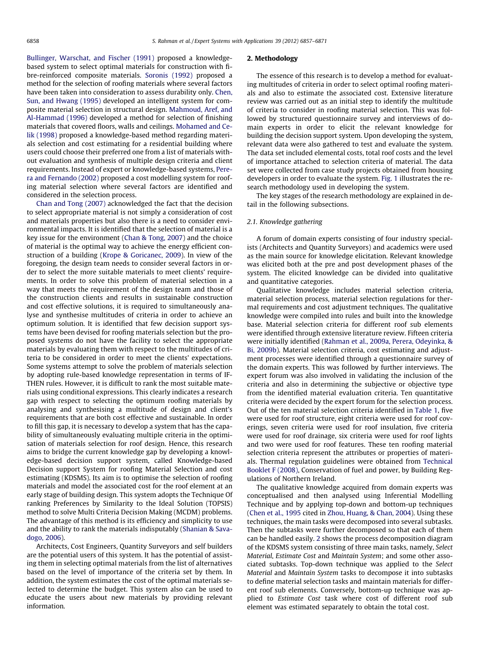[Bullinger, Warschat, and Fischer \(1991\)](#page--1-0) proposed a knowledgebased system to select optimal materials for construction with fibre-reinforced composite materials. [Soronis \(1992\)](#page--1-0) proposed a method for the selection of roofing materials where several factors have been taken into consideration to assess durability only. [Chen,](#page--1-0) [Sun, and Hwang \(1995\)](#page--1-0) developed an intelligent system for composite material selection in structural design. [Mahmoud, Aref, and](#page--1-0) [Al-Hammad \(1996\)](#page--1-0) developed a method for selection of finishing materials that covered floors, walls and ceilings. [Mohamed and Ce](#page--1-0)[lik \(1998\)](#page--1-0) proposed a knowledge-based method regarding materials selection and cost estimating for a residential building where users could choose their preferred one from a list of materials without evaluation and synthesis of multiple design criteria and client requirements. Instead of expert or knowledge-based systems, [Pere](#page--1-0)[ra and Fernando \(2002\)](#page--1-0) proposed a cost modelling system for roofing material selection where several factors are identified and considered in the selection process.

[Chan and Tong \(2007\)](#page--1-0) acknowledged the fact that the decision to select appropriate material is not simply a consideration of cost and materials properties but also there is a need to consider environmental impacts. It is identified that the selection of material is a key issue for the environment ([Chan & Tong, 2007](#page--1-0)) and the choice of material is the optimal way to achieve the energy efficient construction of a building [\(Krope & Goricanec, 2009\)](#page--1-0). In view of the foregoing, the design team needs to consider several factors in order to select the more suitable materials to meet clients' requirements. In order to solve this problem of material selection in a way that meets the requirement of the design team and those of the construction clients and results in sustainable construction and cost effective solutions, it is required to simultaneously analyse and synthesise multitudes of criteria in order to achieve an optimum solution. It is identified that few decision support systems have been devised for roofing materials selection but the proposed systems do not have the facility to select the appropriate materials by evaluating them with respect to the multitudes of criteria to be considered in order to meet the clients' expectations. Some systems attempt to solve the problem of materials selection by adopting rule-based knowledge representation in terms of IF-THEN rules. However, it is difficult to rank the most suitable materials using conditional expressions. This clearly indicates a research gap with respect to selecting the optimum roofing materials by analysing and synthesising a multitude of design and client's requirements that are both cost effective and sustainable. In order to fill this gap, it is necessary to develop a system that has the capability of simultaneously evaluating multiple criteria in the optimisation of materials selection for roof design. Hence, this research aims to bridge the current knowledge gap by developing a knowledge-based decision support system, called Knowledge-based Decision support System for roofing Material Selection and cost estimating (KDSMS). Its aim is to optimise the selection of roofing materials and model the associated cost for the roof element at an early stage of building design. This system adopts the Technique Of ranking Preferences by Similarity to the Ideal Solution (TOPSIS) method to solve Multi Criteria Decision Making (MCDM) problems. The advantage of this method is its efficiency and simplicity to use and the ability to rank the materials indisputably [\(Shanian & Sava](#page--1-0)[dogo, 2006\)](#page--1-0).

Architects, Cost Engineers, Quantity Surveyors and self builders are the potential users of this system. It has the potential of assisting them in selecting optimal materials from the list of alternatives based on the level of importance of the criteria set by them. In addition, the system estimates the cost of the optimal materials selected to determine the budget. This system also can be used to educate the users about new materials by providing relevant information.

#### 2. Methodology

The essence of this research is to develop a method for evaluating multitudes of criteria in order to select optimal roofing materials and also to estimate the associated cost. Extensive literature review was carried out as an initial step to identify the multitude of criteria to consider in roofing material selection. This was followed by structured questionnaire survey and interviews of domain experts in order to elicit the relevant knowledge for building the decision support system. Upon developing the system, relevant data were also gathered to test and evaluate the system. The data set included elemental costs, total roof costs and the level of importance attached to selection criteria of material. The data set were collected from case study projects obtained from housing developers in order to evaluate the system. [Fig. 1](#page--1-0) illustrates the research methodology used in developing the system.

The key stages of the research methodology are explained in detail in the following subsections.

## 2.1. Knowledge gathering

A forum of domain experts consisting of four industry specialists (Architects and Quantity Surveyors) and academics were used as the main source for knowledge elicitation. Relevant knowledge was elicited both at the pre and post development phases of the system. The elicited knowledge can be divided into qualitative and quantitative categories.

Qualitative knowledge includes material selection criteria, material selection process, material selection regulations for thermal requirements and cost adjustment techniques. The qualitative knowledge were compiled into rules and built into the knowledge base. Material selection criteria for different roof sub elements were identified through extensive literature review. Fifteen criteria were initially identified ([Rahman et al., 2009a, Perera, Odeyinka, &](#page--1-0) [Bi, 2009b](#page--1-0)). Material selection criteria, cost estimating and adjustment processes were identified through a questionnaire survey of the domain experts. This was followed by further interviews. The expert forum was also involved in validating the inclusion of the criteria and also in determining the subjective or objective type from the identified material evaluation criteria. Ten quantitative criteria were decided by the expert forum for the selection process. Out of the ten material selection criteria identified in [Table 1,](#page--1-0) five were used for roof structure, eight criteria were used for roof coverings, seven criteria were used for roof insulation, five criteria were used for roof drainage, six criteria were used for roof lights and two were used for roof features. These ten roofing material selection criteria represent the attributes or properties of materials. Thermal regulation guidelines were obtained from [Technical](#page--1-0) [Booklet F \(2008\),](#page--1-0) Conservation of fuel and power, by Building Regulations of Northern Ireland.

The qualitative knowledge acquired from domain experts was conceptualised and then analysed using Inferential Modelling Technique and by applying top-down and bottom-up techniques ([Chen et al., 1995](#page--1-0) cited in [Zhou, Huang, & Chan, 2004\)](#page--1-0). Using these techniques, the main tasks were decomposed into several subtasks. Then the subtasks were further decomposed so that each of them can be handled easily. [2](#page--1-0) shows the process decomposition diagram of the KDSMS system consisting of three main tasks, namely, Select Material, Estimate Cost and Maintain System; and some other associated subtasks. Top-down technique was applied to the Select Material and Maintain System tasks to decompose it into subtasks to define material selection tasks and maintain materials for different roof sub elements. Conversely, bottom-up technique was applied to Estimate Cost task where cost of different roof sub element was estimated separately to obtain the total cost.